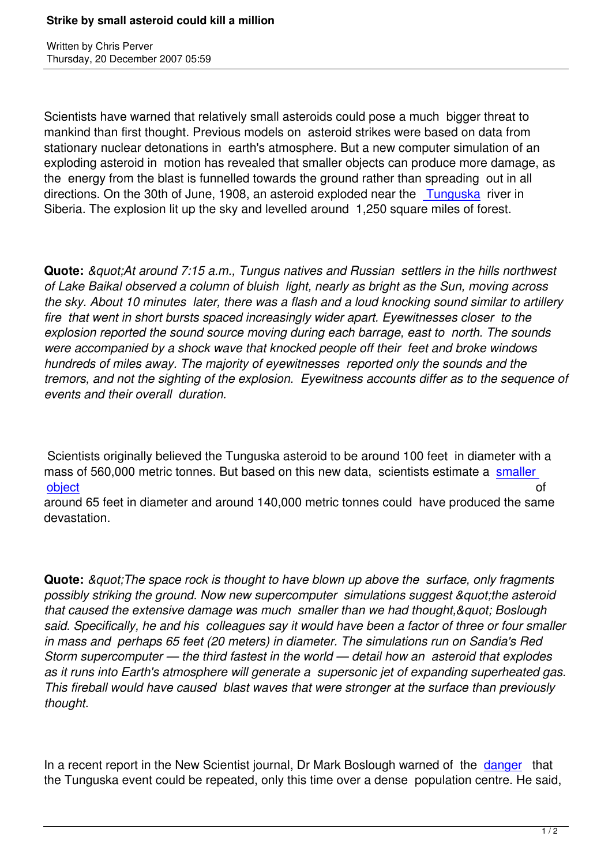Written by Christian by Christian by Christian by Christian by Christian by Christian by Chris Perus

Scientists have warned that relatively small asteroids could pose a much bigger threat to mankind than first thought. Previous models on asteroid strikes were based on data from stationary nuclear detonations in earth's atmosphere. But a new computer simulation of an exploding asteroid in motion has revealed that smaller objects can produce more damage, as the energy from the blast is funnelled towards the ground rather than spreading out in all directions. On the 30th of June, 1908, an asteroid exploded near the Tunguska river in Siberia. The explosion lit up the sky and levelled around 1,250 square miles of forest.

**Quote:** *&guot;At around 7:15 a.m., Tungus natives and Russian settlers in the hills northwest of Lake Baikal observed a column of bluish light, nearly as bright as the Sun, moving across the sky. About 10 minutes later, there was a flash and a loud knocking sound similar to artillery fire that went in short bursts spaced increasingly wider apart. Eyewitnesses closer to the explosion reported the sound source moving during each barrage, east to north. The sounds were accompanied by a shock wave that knocked people off their feet and broke windows hundreds of miles away. The majority of eyewitnesses reported only the sounds and the tremors, and not the sighting of the explosion. Eyewitness accounts differ as to the sequence of events and their overall duration.*

 Scientists originally believed the Tunguska asteroid to be around 100 feet in diameter with a mass of 560,000 metric tonnes. But based on this new data, scientists estimate a smaller object and a structure of the control of the control of the control of the control of the control of the control of

around 65 feet in diameter and around 140,000 metric tonnes could have produced the same devastation.

**Quote:** *&guot: The space rock is thought to have blown up above the surface, only fragments* possibly striking the ground. Now new supercomputer simulations suggest "the asteroid that caused the extensive damage was much smaller than we had thought, & quot; Boslough *said. Specifically, he and his colleagues say it would have been a factor of three or four smaller in mass and perhaps 65 feet (20 meters) in diameter. The simulations run on Sandia's Red Storm supercomputer — the third fastest in the world — detail how an asteroid that explodes as it runs into Earth's atmosphere will generate a supersonic jet of expanding superheated gas. This fireball would have caused blast waves that were stronger at the surface than previously thought.*

In a recent report in the New Scientist journal, Dr Mark Boslough warned of the danger that the Tunguska event could be repeated, only this time over a dense population centre. He said,